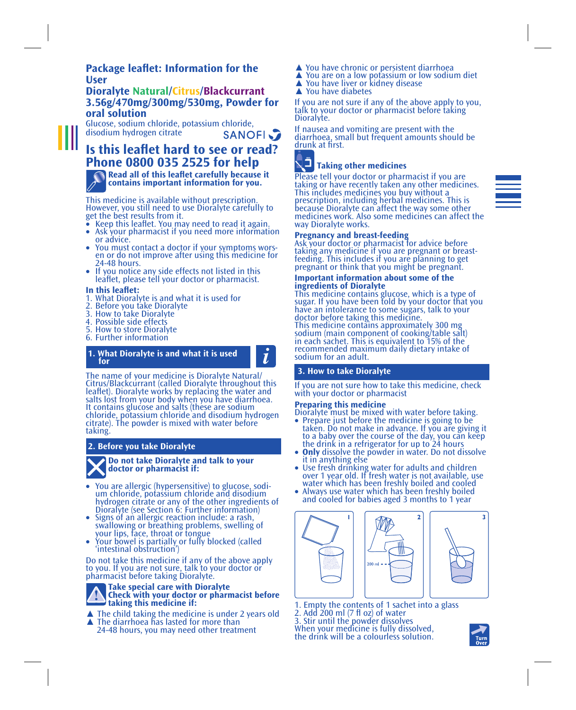## **Package leaflet: Information for the User**

## **Dioralyte Natural/Citrus/Blackcurrant 3.56g/470mg/300mg/530mg, Powder for oral solution**

Glucose, sodium chloride, potassium chloride, disodium hydrogen citrate **SANOFI** 

**Is this leaflet hard to see or read? Phone 0800 035 2525 for help**

**Read all of this leaflet carefully because it contains important information for you.**

This medicine is available without prescription. However, you still need to use Dioralyte carefully to get the best results from it.<br>• Keep this leaflet. You may need to read it again.

- 
- Ask your pharmacist if you need more information<br>or advice. You must contact a doctor if your symptoms wors-
- en or do not improve after using this medicine for
- If you notice any side effects not listed in this leaflet, please tell your doctor or pharmacist.

### **In this leaflet:**

- 1. What Dioralyte is and what it is used for
- 2. Before you take Dioralyte
- 3. How to take Dioralyte
- 4. Possible side effects
- 5. How to store Dioralyte
- 6. Further information

# **1. What Dioralyte is and what it is used for**

ĺ

The name of your medicine is Dioralyte Natural/ Citrus/Blackcurrant (called Dioralyte throughout this leaflet). Dioralyte works by replacing the water and salts lost from your body when you have diarrhoea. It contains glucose and salts (these are sodium chloride, potassium chloride and disodium hydrogen citrate). The powder is mixed with water before taking.

## **2. Before you take Dioralyte**



- You are allergic (hypersensitive) to glucose, sodium chloride, potassium chloride and disodium hydrogen citrate or any of the other ingredients of
- Dioralyte (see Section 6: Further information) Signs of an allergic reaction include: a rash, swallowing or breathing problems, swelling of
- your lips, face, throat or tongue Your bowel is partially or fully blocked (called Your bowel is partially or fully blocked (called<br>'intestinal obstruction')

Do not take this medicine if any of the above apply to you. If you are not sure, talk to your doctor or pharmacist before taking Dioralyte.

## **Take special care with Dioralyte Check with your doctor or pharmacist before taking this medicine if:**

 $\blacktriangle$  The child taking the medicine is under 2 years old  $\blacktriangle$  The diarrhoea has lasted for more than 24-48 hours, you may need other treatment

- 
- $\triangle$  You are on a low potassium or low sodium diet  $\triangle$  You have liver or kidney disease  $\triangle$  You have diabetes
- 
- 

If you are not sure if any of the above apply to you, talk to your doctor or pharmacist before taking Dioralyte.

If nausea and vomiting are present with the diarrhoea, small but frequent amounts should be drunk at first.

# **Taking other medicines**

Please tell your doctor or pharmacist if you are taking or have recently taken any other medicines. This includes medicines you buy without a prescription, including herbal medicines. This is because Dioralyte can affect the way some other medicines work. Also some medicines can affect the way Dioralyte works.

### **Pregnancy and breast-feeding**

Ask your doctor or pharmacist for advice before taking any medicine if you are pregnant or breast-feeding. This includes if you are planning to get pregnant or think that you might be pregnant.

#### **Important information about some of the ingredients of Dioralyte**

This medicine contains glucose, which is a type of sugar. If you have been told by your doctor that you have an intolerance to some sugars, talk to your doctor before taking this medicine. This medicine contains approximately 300 mg sodium (main component of cooking/table salt) in each sachet. This is equivalent to 15% of the recommended maximum daily dietary intake of sodium for an adult.

## **3. How to take Dioralyte**

If you are not sure how to take this medicine, check with your doctor or pharmacist

### **Preparing this medicine**

Dioralyte must be mixed with water before taking.<br>• Prepare just before the medicine is going to be

- • Prepare just before the medicine is going to be taken. Do not make in advance. If you are giving it to a baby over the course of the day, you can keep the drink in a refrigerator for up to 24 hours
- 
- **Only** dissolve the powder in water. Do not dissolve it in anything else<br>• Use fresh drinking water for adults and children<br>• Over 1 year old. If fresh water is not available, use water which has been freshly boiled and cooled
- • Always use water which has been freshly boiled and cooled for babies aged 3 months to 1 year



1. Empty the contents of 1 sachet into a glass 2. Add 200 ml (7 fl oz) of water

3. Stir until the powder dissolves When your medicine is fully dissolved, the drink will be a colourless solution.